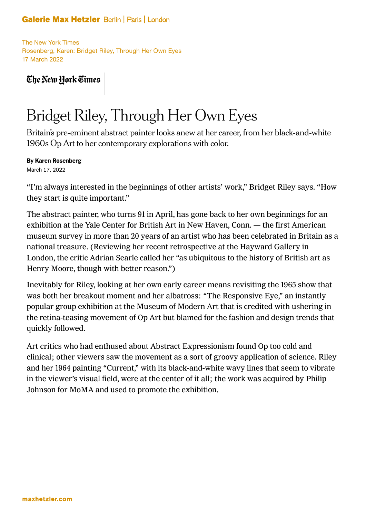## **Galerie Max Hetzler Berlin | Paris | London**

The New York Times Rosenberg, Karen: Bridget Riley, Through Her Own Eyes 17 March 2022

The New York Times

## Bridget Riley, Through Her Own Eyes

Britain's pre-eminent abstract painter looks anew at her career, from her black-and-white 1960s Op Art to her contemporary explorations with color.

By Karen Rosenberg

March 17, 2022

"I'm always interested in the beginnings of other artists' work," Bridget Riley says. "How they start is quite important."

The abstract painter, who turns 91 in April, has gone back to her own beginnings for an exhibition at the Yale Center for British Art in New Haven, Conn. — the first American museum survey in more than 20 years of an artist who has been celebrated in Britain as a national treasure. (Reviewing her recent retrospective at the Hayward Gallery in London, the critic Adrian Searle called her "as ubiquitous to the history of British art as Henry Moore, though with better reason.")

Inevitably for Riley, looking at her own early career means revisiting the 1965 show that was both her breakout moment and her albatross: "The Responsive Eye," an instantly popular group exhibition at the Museum of Modern Art that is credited with ushering in the retina-teasing movement of Op Art but blamed for the fashion and design trends that quickly followed.

Art critics who had enthused about Abstract Expressionism found Op too cold and clinical; other viewers saw the movement as a sort of groovy application of science. Riley and her 1964 painting "Current," with its black-and-white wavy lines that seem to vibrate in the viewer's visual field, were at the center of it all; the work was acquired by Philip Johnson for MoMA and used to promote the exhibition.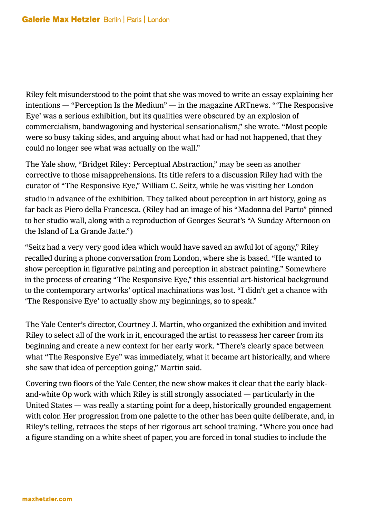Riley felt misunderstood to the point that she was moved to write an essay explaining her intentions — "Perception Is the Medium" — in the magazine ARTnews. "'The Responsive Eye' was a serious exhibition, but its qualities were obscured by an explosion of commercialism, bandwagoning and hysterical sensationalism," she wrote. "Most people were so busy taking sides, and arguing about what had or had not happened, that they could no longer see what was actually on the wall."

The Yale show, "Bridget Riley: Perceptual Abstraction," may be seen as another corrective to those misapprehensions. Its title refers to a discussion Riley had with the curator of "The Responsive Eye," William C. Seitz, while he was visiting her London studio in advance of the exhibition. They talked about perception in art history, going as far back as Piero della Francesca. (Riley had an image of his "Madonna del Parto" pinned to her studio wall, along with a reproduction of Georges Seurat's "A Sunday Afternoon on the Island of La Grande Jatte.")

"Seitz had a very very good idea which would have saved an awful lot of agony," Riley recalled during a phone conversation from London, where she is based. "He wanted to show perception in figurative painting and perception in abstract painting." Somewhere in the process of creating "The Responsive Eye," this essential art-historical background to the contemporary artworks' optical machinations was lost. "I didn't get a chance with 'The Responsive Eye' to actually show my beginnings, so to speak."

The Yale Center's director, Courtney J. Martin, who organized the exhibition and invited Riley to select all of the work in it, encouraged the artist to reassess her career from its beginning and create a new context for her early work. "There's clearly space between what "The Responsive Eye" was immediately, what it became art historically, and where she saw that idea of perception going," Martin said.

Covering two floors of the Yale Center, the new show makes it clear that the early blackand-white Op work with which Riley is still strongly associated — particularly in the United States — was really a starting point for a deep, historically grounded engagement with color. Her progression from one palette to the other has been quite deliberate, and, in Riley's telling, retraces the steps of her rigorous art school training. "Where you once had a figure standing on a white sheet of paper, you are forced in tonal studies to include the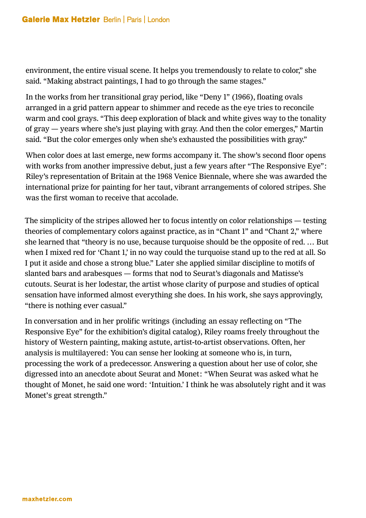environment, the entire visual scene. It helps you tremendously to relate to color," she said. "Making abstract paintings, I had to go through the same stages."

In the works from her transitional gray period, like "Deny 1" (1966), floating ovals arranged in a grid pattern appear to shimmer and recede as the eye tries to reconcile warm and cool grays. "This deep exploration of black and white gives way to the tonality of gray — years where she's just playing with gray. And then the color emerges," Martin said. "But the color emerges only when she's exhausted the possibilities with gray."

When color does at last emerge, new forms accompany it. The show's second floor opens with works from another impressive debut, just a few years after "The Responsive Eye": Riley's representation of Britain at the 1968 Venice Biennale, where she was awarded the international prize for painting for her taut, vibrant arrangements of colored stripes. She was the first woman to receive that accolade.

The simplicity of the stripes allowed her to focus intently on color relationships — testing theories of complementary colors against practice, as in "Chant 1" and "Chant 2," where she learned that "theory is no use, because turquoise should be the opposite of red. … But when I mixed red for 'Chant 1,' in no way could the turquoise stand up to the red at all. So I put it aside and chose a strong blue." Later she applied similar discipline to motifs of slanted bars and arabesques — forms that nod to Seurat's diagonals and Matisse's cutouts. Seurat is her lodestar, the artist whose clarity of purpose and studies of optical sensation have informed almost everything she does. In his work, she says approvingly, "there is nothing ever casual."

In conversation and in her prolific writings (including an essay reflecting on "The Responsive Eye" for the exhibition's digital catalog), Riley roams freely throughout the history of Western painting, making astute, artist-to-artist observations. Often, her analysis is multilayered: You can sense her looking at someone who is, in turn, processing the work of a predecessor. Answering a question about her use of color, she digressed into an anecdote about Seurat and Monet: "When Seurat was asked what he thought of Monet, he said one word: 'Intuition.' I think he was absolutely right and it was Monet's great strength."